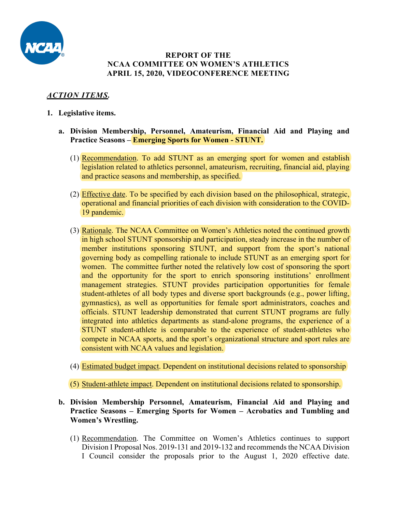

### **REPORT OF THE NCAA COMMITTEE ON WOMEN'S ATHLETICS APRIL 15, 2020, VIDEOCONFERENCE MEETING**

# *ACTION ITEMS.*

- **1. Legislative items.**
	- **a. Division Membership, Personnel, Amateurism, Financial Aid and Playing and Practice Seasons – Emerging Sports for Women - STUNT.**
		- (1) Recommendation. To add STUNT as an emerging sport for women and establish legislation related to athletics personnel, amateurism, recruiting, financial aid, playing and practice seasons and membership, as specified.
		- (2) Effective date. To be specified by each division based on the philosophical, strategic, operational and financial priorities of each division with consideration to the COVID-19 pandemic.
		- (3) Rationale. The NCAA Committee on Women's Athletics noted the continued growth in high school STUNT sponsorship and participation, steady increase in the number of member institutions sponsoring STUNT, and support from the sport's national governing body as compelling rationale to include STUNT as an emerging sport for women. The committee further noted the relatively low cost of sponsoring the sport and the opportunity for the sport to enrich sponsoring institutions' enrollment management strategies. STUNT provides participation opportunities for female student-athletes of all body types and diverse sport backgrounds (e.g., power lifting, gymnastics), as well as opportunities for female sport administrators, coaches and officials. STUNT leadership demonstrated that current STUNT programs are fully integrated into athletics departments as stand-alone programs, the experience of a STUNT student-athlete is comparable to the experience of student-athletes who compete in NCAA sports, and the sport's organizational structure and sport rules are consistent with NCAA values and legislation.
		- (4) Estimated budget impact. Dependent on institutional decisions related to sponsorship

(5) Student-athlete impact. Dependent on institutional decisions related to sponsorship.

- **b. Division Membership Personnel, Amateurism, Financial Aid and Playing and Practice Seasons – Emerging Sports for Women – Acrobatics and Tumbling and Women's Wrestling.**
	- (1) Recommendation. The Committee on Women's Athletics continues to support Division I Proposal Nos. 2019-131 and 2019-132 and recommends the NCAA Division I Council consider the proposals prior to the August 1, 2020 effective date.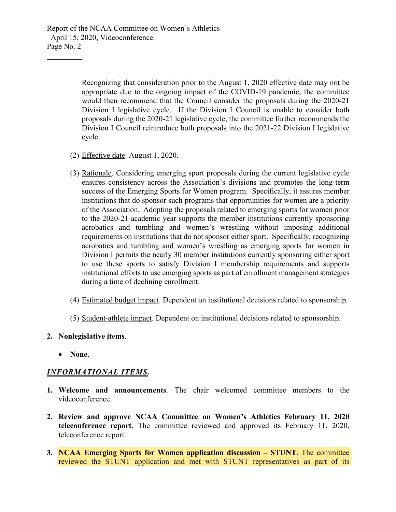Report of the NCAA Committee on Women's Athletics April 15, 2020, Videoconference. Page No. 2

> Recognizing that consideration prior to the August 1, 2020 effective date may not be appropriate due to the ongoing impact of the COVID-19 pandemic, the committee would then recommend that the Council consider the proposals during the 2020-21 Division I legislative cycle. If the Division I Council is unable to consider both proposals during the 2020-21 legislative cycle, the committee further recommends the Division I Council reintroduce both proposals into the 2021-22 Division I legislative cycle.

- (2) Effective date. August 1, 2020.
- (3) Rationale. Considering emerging sport proposals during the current legislative cycle ensures consistency across the Association's divisions and promotes the long-term success of the Emerging Sports for Women program. Specifically, it assures member institutions that do sponsor such programs that opportunities for women are a priority of the Association. Adopting the proposals related to emerging sports for women prior to the 2020-21 academic year supports the member institutions currently sponsoring acrobatics and tumbling and women's wrestling without imposing additional requirements on institutions that do not sponsor either sport. Specifically, recognizing acrobatics and tumbling and women's wrestling as emerging sports for women in Division I permits the nearly 30 member institutions currently sponsoring either sport to use these sports to satisfy Division I membership requirements and supports institutional efforts to use emerging sports as part of enrollment management strategies during a time of declining enrollment.
- (4) Estimated budget impact. Dependent on institutional decisions related to sponsorship.
- (5) Student-athlete impact. Dependent on institutional decisions related to sponsorship.

#### **2. Nonlegislative items**.

• **None**.

**\_\_\_\_\_\_\_\_\_**

#### *INFORMATIONAL ITEMS.*

- **1. Welcome and announcements**. The chair welcomed committee members to the videoconference.
- **2. Review and approve NCAA Committee on Women's Athletics February 11, 2020 teleconference report.** The committee reviewed and approved its February 11, 2020, teleconference report.
- **3. NCAA Emerging Sports for Women application discussion – STUNT.** The committee reviewed the STUNT application and met with STUNT representatives as part of its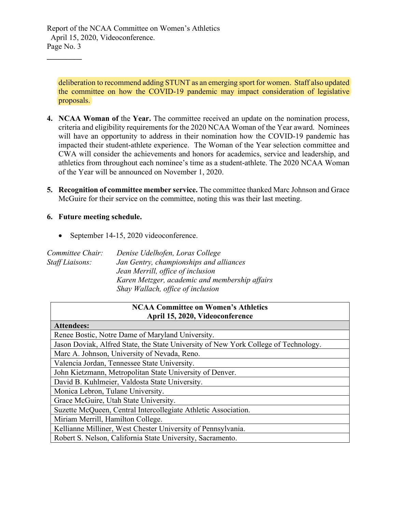deliberation to recommend adding STUNT as an emerging sport for women. Staff also updated the committee on how the COVID-19 pandemic may impact consideration of legislative proposals.

- **4. NCAA Woman of** the **Year.** The committee received an update on the nomination process, criteria and eligibility requirements for the 2020 NCAA Woman of the Year award. Nominees will have an opportunity to address in their nomination how the COVID-19 pandemic has impacted their student-athlete experience. The Woman of the Year selection committee and CWA will consider the achievements and honors for academics, service and leadership, and athletics from throughout each nominee's time as a student-athlete. The 2020 NCAA Woman of the Year will be announced on November 1, 2020.
- **5. Recognition of committee member service.** The committee thanked Marc Johnson and Grace McGuire for their service on the committee, noting this was their last meeting.

### **6. Future meeting schedule.**

**\_\_\_\_\_\_\_\_\_**

• September 14-15, 2020 videoconference.

| Committee Chair: | Denise Udelhofen, Loras College                |
|------------------|------------------------------------------------|
| Staff Liaisons:  | Jan Gentry, championships and alliances        |
|                  | Jean Merrill, office of inclusion              |
|                  | Karen Metzger, academic and membership affairs |
|                  | Shay Wallach, office of inclusion              |

## **NCAA Committee on Women's Athletics April 15, 2020, Videoconference**

# **Attendees:** Renee Bostic, Notre Dame of Maryland University. Jason Doviak, Alfred State, the State University of New York College of Technology. Marc A. Johnson, University of Nevada, Reno. Valencia Jordan, Tennessee State University. John Kietzmann, Metropolitan State University of Denver. David B. Kuhlmeier, Valdosta State University. Monica Lebron, Tulane University. Grace McGuire, Utah State University. Suzette McQueen, Central Intercollegiate Athletic Association. Miriam Merrill, Hamilton College. Kellianne Milliner, West Chester University of Pennsylvania. Robert S. Nelson, California State University, Sacramento.